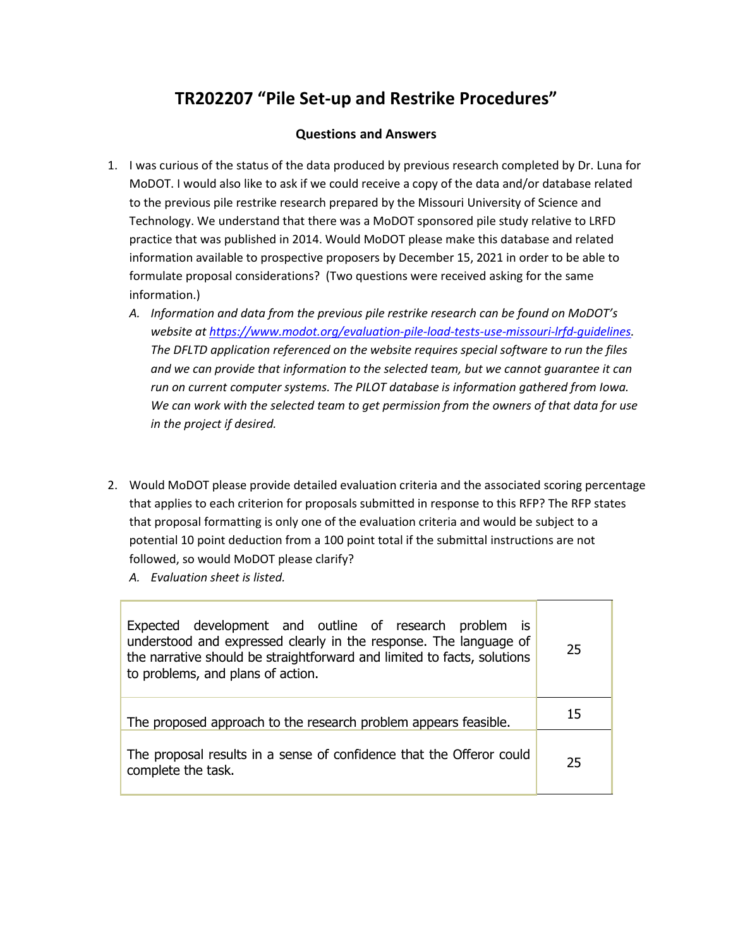## **TR202207 "Pile Set-up and Restrike Procedures"**

## **Questions and Answers**

- 1. I was curious of the status of the data produced by previous research completed by Dr. Luna for MoDOT. I would also like to ask if we could receive a copy of the data and/or database related to the previous pile restrike research prepared by the Missouri University of Science and Technology. We understand that there was a MoDOT sponsored pile study relative to LRFD practice that was published in 2014. Would MoDOT please make this database and related information available to prospective proposers by December 15, 2021 in order to be able to formulate proposal considerations? (Two questions were received asking for the same information.)
	- *A. Information and data from the previous pile restrike research can be found on MoDOT's website at [https://www.modot.org/evaluation-pile-load-tests-use-missouri-lrfd-guidelines.](https://www.modot.org/evaluation-pile-load-tests-use-missouri-lrfd-guidelines) The DFLTD application referenced on the website requires special software to run the files and we can provide that information to the selected team, but we cannot guarantee it can run on current computer systems. The PILOT database is information gathered from Iowa. We can work with the selected team to get permission from the owners of that data for use in the project if desired.*
- 2. Would MoDOT please provide detailed evaluation criteria and the associated scoring percentage that applies to each criterion for proposals submitted in response to this RFP? The RFP states that proposal formatting is only one of the evaluation criteria and would be subject to a potential 10 point deduction from a 100 point total if the submittal instructions are not followed, so would MoDOT please clarify?
	- *A. Evaluation sheet is listed.*

| Expected development and outline of research problem is<br>understood and expressed clearly in the response. The language of<br>the narrative should be straightforward and limited to facts, solutions<br>to problems, and plans of action. | 25 |
|----------------------------------------------------------------------------------------------------------------------------------------------------------------------------------------------------------------------------------------------|----|
| The proposed approach to the research problem appears feasible.                                                                                                                                                                              | 15 |
| The proposal results in a sense of confidence that the Offeror could<br>complete the task.                                                                                                                                                   | 25 |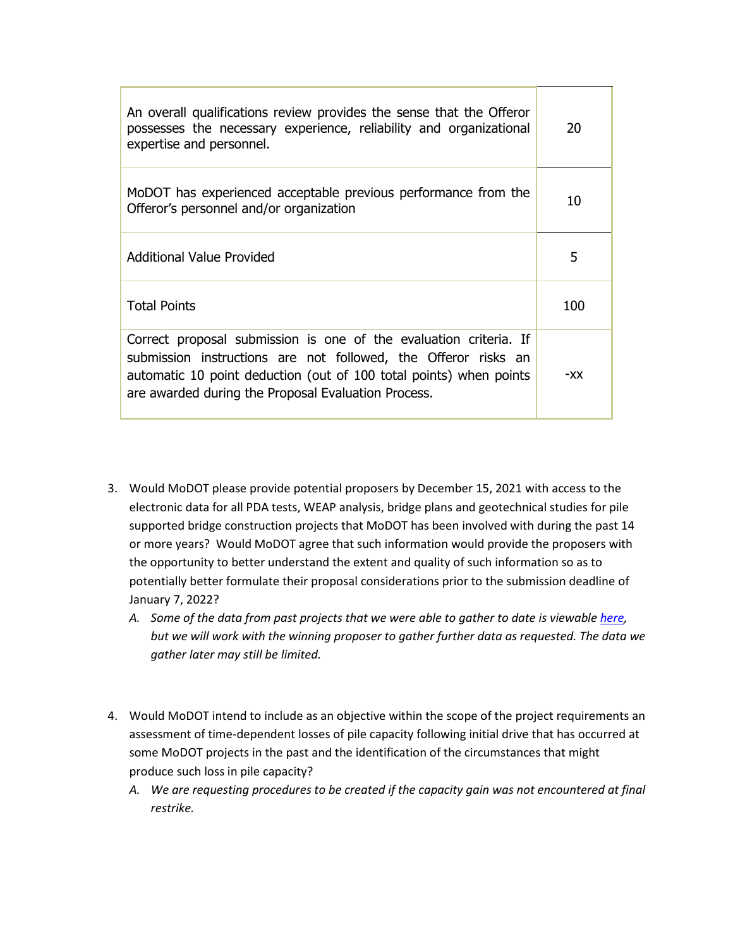| An overall qualifications review provides the sense that the Offeror<br>possesses the necessary experience, reliability and organizational<br>expertise and personnel.                                                                                           | 20  |
|------------------------------------------------------------------------------------------------------------------------------------------------------------------------------------------------------------------------------------------------------------------|-----|
| MoDOT has experienced acceptable previous performance from the<br>Offeror's personnel and/or organization                                                                                                                                                        | 10  |
| Additional Value Provided                                                                                                                                                                                                                                        | 5   |
| <b>Total Points</b>                                                                                                                                                                                                                                              | 100 |
| Correct proposal submission is one of the evaluation criteria. If<br>submission instructions are not followed, the Offeror risks an<br>automatic 10 point deduction (out of 100 total points) when points<br>are awarded during the Proposal Evaluation Process. | -XX |

- 3. Would MoDOT please provide potential proposers by December 15, 2021 with access to the electronic data for all PDA tests, WEAP analysis, bridge plans and geotechnical studies for pile supported bridge construction projects that MoDOT has been involved with during the past 14 or more years? Would MoDOT agree that such information would provide the proposers with the opportunity to better understand the extent and quality of such information so as to potentially better formulate their proposal considerations prior to the submission deadline of January 7, 2022?
	- *A. Some of the data from past projects that we were able to gather to date is viewable [here,](https://modot.box.com/s/fcnd3ky0xrtgu5mgao3p290u9afylj4h) but we will work with the winning proposer to gather further data as requested. The data we gather later may still be limited.*
- 4. Would MoDOT intend to include as an objective within the scope of the project requirements an assessment of time-dependent losses of pile capacity following initial drive that has occurred at some MoDOT projects in the past and the identification of the circumstances that might produce such loss in pile capacity?
	- *A. We are requesting procedures to be created if the capacity gain was not encountered at final restrike.*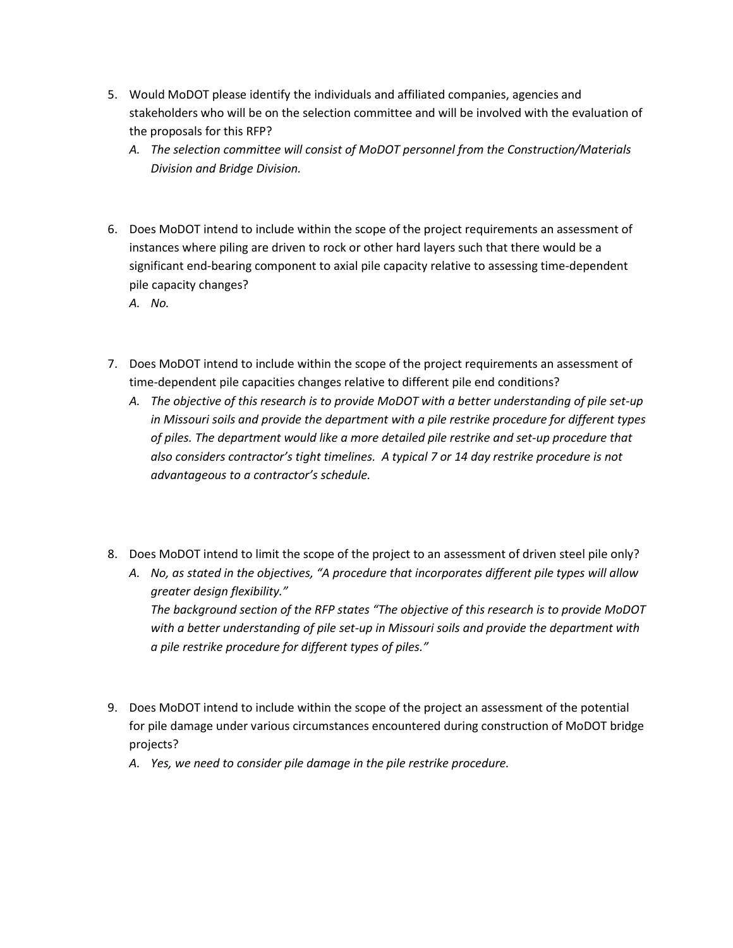- 5. Would MoDOT please identify the individuals and affiliated companies, agencies and stakeholders who will be on the selection committee and will be involved with the evaluation of the proposals for this RFP?
	- *A. The selection committee will consist of MoDOT personnel from the Construction/Materials Division and Bridge Division.*
- 6. Does MoDOT intend to include within the scope of the project requirements an assessment of instances where piling are driven to rock or other hard layers such that there would be a significant end-bearing component to axial pile capacity relative to assessing time-dependent pile capacity changes?
	- *A. No.*
- 7. Does MoDOT intend to include within the scope of the project requirements an assessment of time-dependent pile capacities changes relative to different pile end conditions?
	- *A. The objective of this research is to provide MoDOT with a better understanding of pile set-up in Missouri soils and provide the department with a pile restrike procedure for different types of piles. The department would like a more detailed pile restrike and set-up procedure that also considers contractor's tight timelines. A typical 7 or 14 day restrike procedure is not advantageous to a contractor's schedule.*
- 8. Does MoDOT intend to limit the scope of the project to an assessment of driven steel pile only?
	- *A. No, as stated in the objectives, "A procedure that incorporates different pile types will allow greater design flexibility." The background section of the RFP states "The objective of this research is to provide MoDOT*

*with a better understanding of pile set-up in Missouri soils and provide the department with a pile restrike procedure for different types of piles."*

- 9. Does MoDOT intend to include within the scope of the project an assessment of the potential for pile damage under various circumstances encountered during construction of MoDOT bridge projects?
	- *A. Yes, we need to consider pile damage in the pile restrike procedure.*